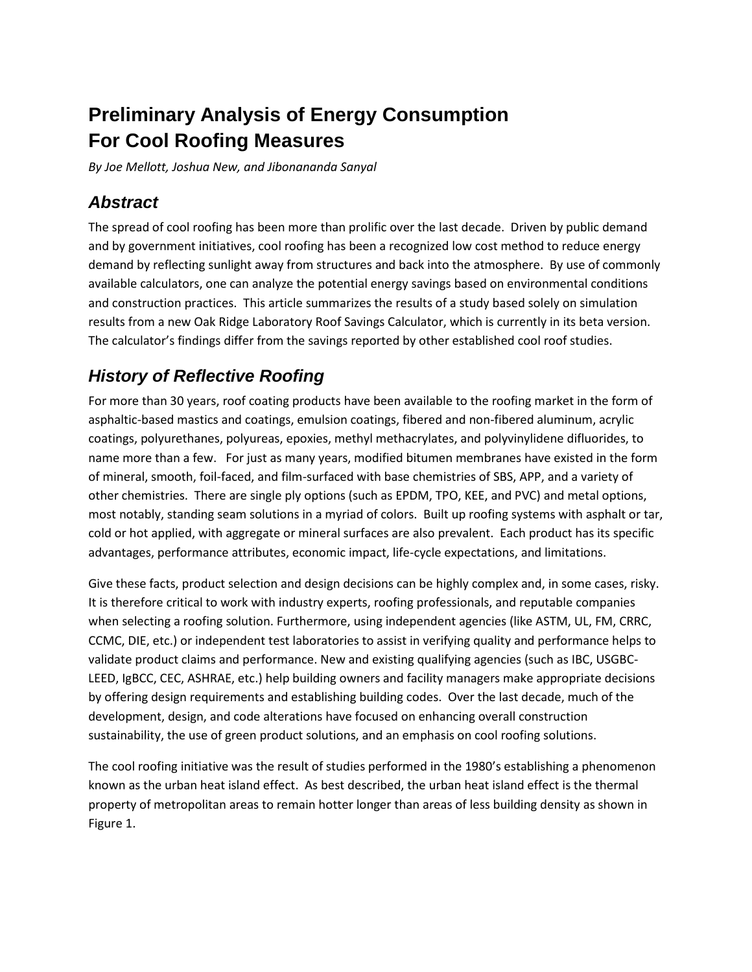# **Preliminary Analysis of Energy Consumption For Cool Roofing Measures**

*By Joe Mellott, Joshua New, and Jibonananda Sanyal* 

## *Abstract*

The spread of cool roofing has been more than prolific over the last decade. Driven by public demand and by government initiatives, cool roofing has been a recognized low cost method to reduce energy demand by reflecting sunlight away from structures and back into the atmosphere. By use of commonly available calculators, one can analyze the potential energy savings based on environmental conditions and construction practices. This article summarizes the results of a study based solely on simulation results from a new Oak Ridge Laboratory Roof Savings Calculator, which is currently in its beta version. The calculator's findings differ from the savings reported by other established cool roof studies.

## *History of Reflective Roofing*

For more than 30 years, roof coating products have been available to the roofing market in the form of asphaltic-based mastics and coatings, emulsion coatings, fibered and non-fibered aluminum, acrylic coatings, polyurethanes, polyureas, epoxies, methyl methacrylates, and polyvinylidene difluorides, to name more than a few. For just as many years, modified bitumen membranes have existed in the form of mineral, smooth, foil-faced, and film-surfaced with base chemistries of SBS, APP, and a variety of other chemistries. There are single ply options (such as EPDM, TPO, KEE, and PVC) and metal options, most notably, standing seam solutions in a myriad of colors. Built up roofing systems with asphalt or tar, cold or hot applied, with aggregate or mineral surfaces are also prevalent. Each product has its specific advantages, performance attributes, economic impact, life-cycle expectations, and limitations.

Give these facts, product selection and design decisions can be highly complex and, in some cases, risky. It is therefore critical to work with industry experts, roofing professionals, and reputable companies when selecting a roofing solution. Furthermore, using independent agencies (like ASTM, UL, FM, CRRC, CCMC, DIE, etc.) or independent test laboratories to assist in verifying quality and performance helps to validate product claims and performance. New and existing qualifying agencies (such as IBC, USGBC-LEED, IgBCC, CEC, ASHRAE, etc.) help building owners and facility managers make appropriate decisions by offering design requirements and establishing building codes. Over the last decade, much of the development, design, and code alterations have focused on enhancing overall construction sustainability, the use of green product solutions, and an emphasis on cool roofing solutions.

The cool roofing initiative was the result of studies performed in the 1980's establishing a phenomenon known as the urban heat island effect. As best described, the urban heat island effect is the thermal property of metropolitan areas to remain hotter longer than areas of less building density as shown in Figure 1.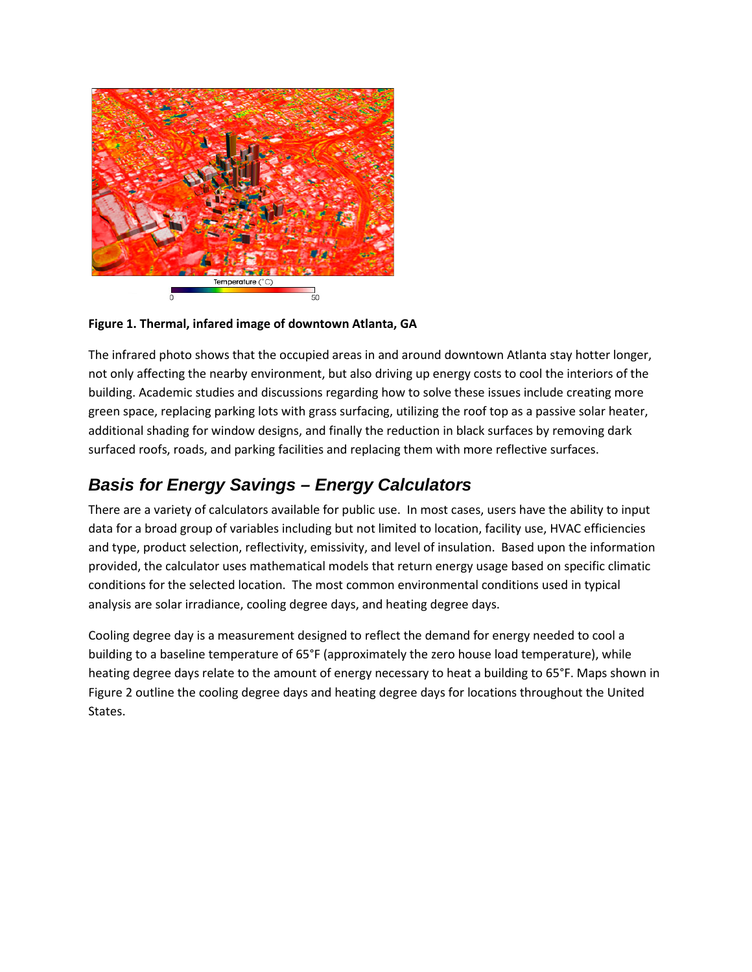

**Figure 1. Thermal, infared image of downtown Atlanta, GA**

The infrared photo shows that the occupied areas in and around downtown Atlanta stay hotter longer, not only affecting the nearby environment, but also driving up energy costs to cool the interiors of the building. Academic studies and discussions regarding how to solve these issues include creating more green space, replacing parking lots with grass surfacing, utilizing the roof top as a passive solar heater, additional shading for window designs, and finally the reduction in black surfaces by removing dark surfaced roofs, roads, and parking facilities and replacing them with more reflective surfaces.

## *Basis for Energy Savings – Energy Calculators*

There are a variety of calculators available for public use. In most cases, users have the ability to input data for a broad group of variables including but not limited to location, facility use, HVAC efficiencies and type, product selection, reflectivity, emissivity, and level of insulation. Based upon the information provided, the calculator uses mathematical models that return energy usage based on specific climatic conditions for the selected location. The most common environmental conditions used in typical analysis are solar irradiance, cooling degree days, and heating degree days.

Cooling degree day is a measurement designed to reflect the demand for energy needed to cool a building to a baseline temperature of 65°F (approximately the zero house load temperature), while heating degree days relate to the amount of energy necessary to heat a building to 65°F. Maps shown in Figure 2 outline the cooling degree days and heating degree days for locations throughout the United States.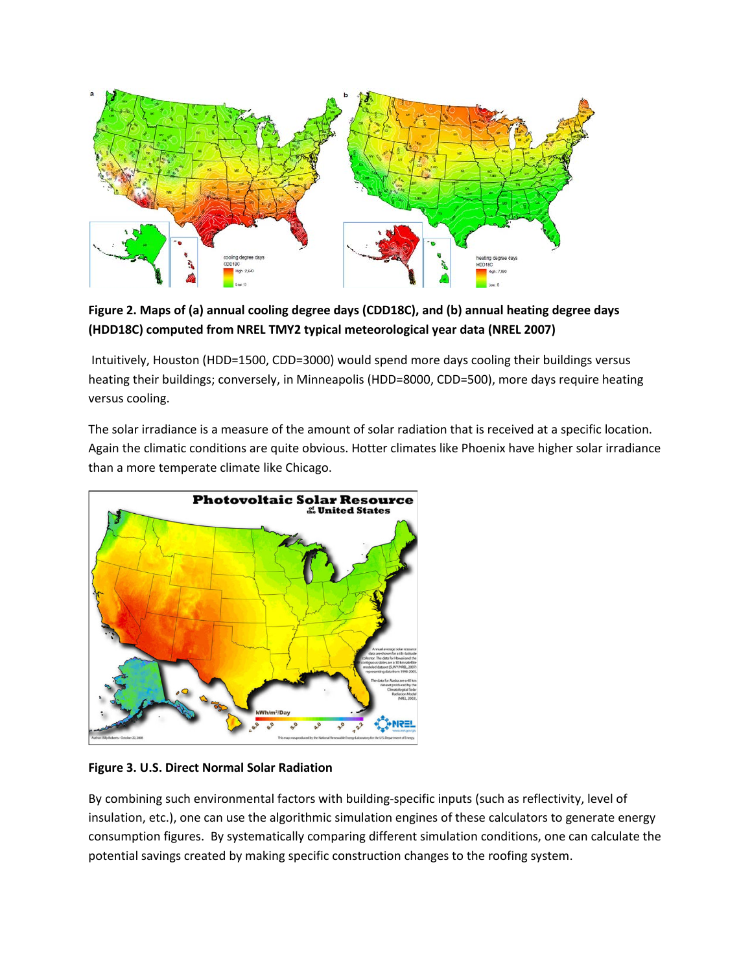

**Figure 2. Maps of (a) annual cooling degree days (CDD18C), and (b) annual heating degree days (HDD18C) computed from NREL TMY2 typical meteorological year data (NREL 2007)** 

Intuitively, Houston (HDD=1500, CDD=3000) would spend more days cooling their buildings versus heating their buildings; conversely, in Minneapolis (HDD=8000, CDD=500), more days require heating versus cooling.

The solar irradiance is a measure of the amount of solar radiation that is received at a specific location. Again the climatic conditions are quite obvious. Hotter climates like Phoenix have higher solar irradiance than a more temperate climate like Chicago.



**Figure 3. U.S. Direct Normal Solar Radiation** 

By combining such environmental factors with building-specific inputs (such as reflectivity, level of insulation, etc.), one can use the algorithmic simulation engines of these calculators to generate energy consumption figures. By systematically comparing different simulation conditions, one can calculate the potential savings created by making specific construction changes to the roofing system.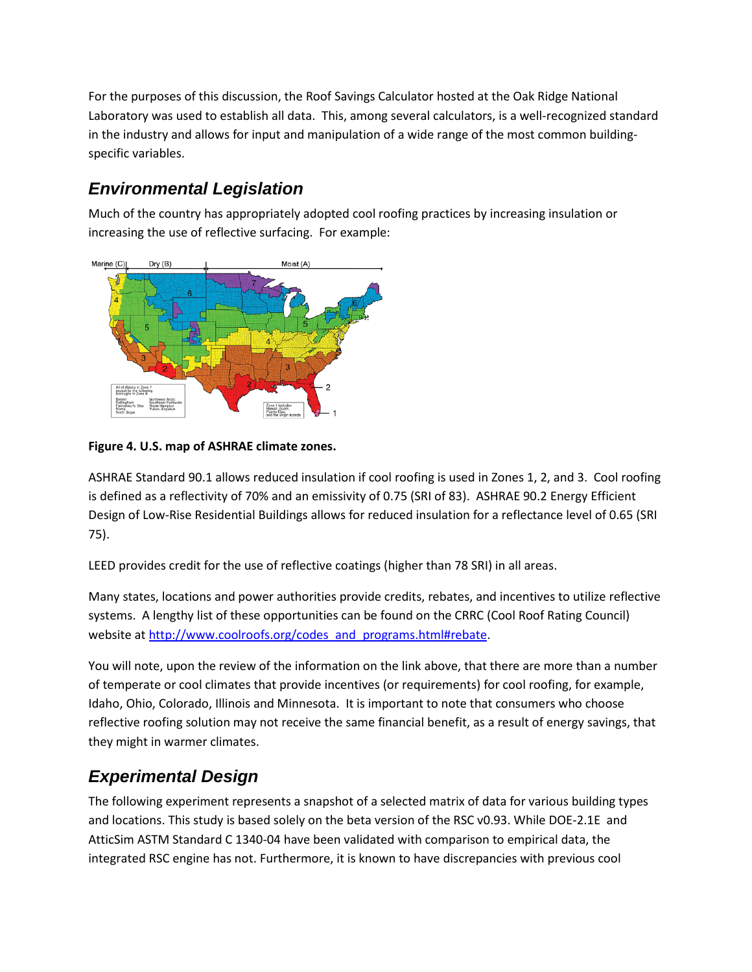For the purposes of this discussion, the Roof Savings Calculator hosted at the Oak Ridge National Laboratory was used to establish all data. This, among several calculators, is a well-recognized standard in the industry and allows for input and manipulation of a wide range of the most common buildingspecific variables.

## *Environmental Legislation*

Much of the country has appropriately adopted cool roofing practices by increasing insulation or increasing the use of reflective surfacing. For example:



#### **Figure 4. U.S. map of ASHRAE climate zones.**

ASHRAE Standard 90.1 allows reduced insulation if cool roofing is used in Zones 1, 2, and 3. Cool roofing is defined as a reflectivity of 70% and an emissivity of 0.75 (SRI of 83). ASHRAE 90.2 Energy Efficient Design of Low-Rise Residential Buildings allows for reduced insulation for a reflectance level of 0.65 (SRI 75).

LEED provides credit for the use of reflective coatings (higher than 78 SRI) in all areas.

Many states, locations and power authorities provide credits, rebates, and incentives to utilize reflective systems. A lengthy list of these opportunities can be found on the CRRC (Cool Roof Rating Council) website at [http://www.coolroofs.org/codes\\_and\\_programs.html#rebate.](http://www.coolroofs.org/codes_and_programs.html#rebate)

You will note, upon the review of the information on the link above, that there are more than a number of temperate or cool climates that provide incentives (or requirements) for cool roofing, for example, Idaho, Ohio, Colorado, Illinois and Minnesota. It is important to note that consumers who choose reflective roofing solution may not receive the same financial benefit, as a result of energy savings, that they might in warmer climates.

### *Experimental Design*

The following experiment represents a snapshot of a selected matrix of data for various building types and locations. This study is based solely on the beta version of the RSC v0.93. While DOE-2.1E and AtticSim ASTM Standard C 1340-04 have been validated with comparison to empirical data, the integrated RSC engine has not. Furthermore, it is known to have discrepancies with previous cool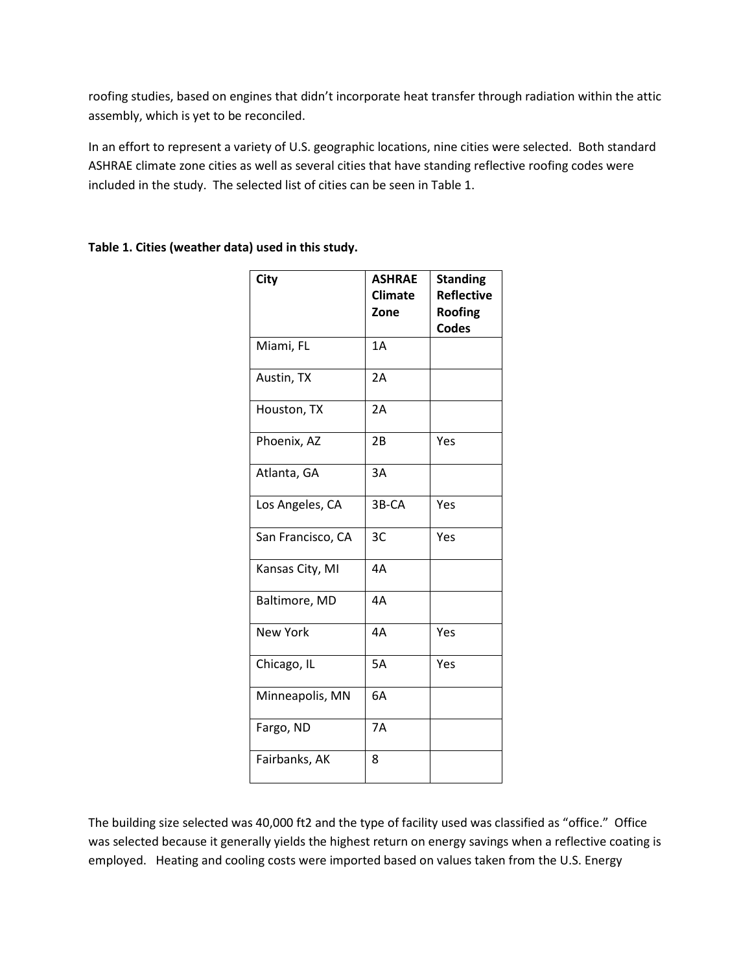roofing studies, based on engines that didn't incorporate heat transfer through radiation within the attic assembly, which is yet to be reconciled.

In an effort to represent a variety of U.S. geographic locations, nine cities were selected. Both standard ASHRAE climate zone cities as well as several cities that have standing reflective roofing codes were included in the study. The selected list of cities can be seen in Table 1.

| City              | <b>ASHRAE</b><br><b>Climate</b><br>Zone | <b>Standing</b><br><b>Reflective</b><br>Roofing<br><b>Codes</b> |
|-------------------|-----------------------------------------|-----------------------------------------------------------------|
| Miami, FL         | 1A                                      |                                                                 |
| Austin, TX        | 2A                                      |                                                                 |
| Houston, TX       | 2A                                      |                                                                 |
| Phoenix, AZ       | 2B                                      | Yes                                                             |
| Atlanta, GA       | 3A                                      |                                                                 |
| Los Angeles, CA   | 3B-CA                                   | Yes                                                             |
| San Francisco, CA | 3C                                      | Yes                                                             |
| Kansas City, MI   | 4A                                      |                                                                 |
| Baltimore, MD     | 4A                                      |                                                                 |
| <b>New York</b>   | 4A                                      | Yes                                                             |
| Chicago, IL       | 5A                                      | Yes                                                             |
| Minneapolis, MN   | 6A                                      |                                                                 |
| Fargo, ND         | <b>7A</b>                               |                                                                 |
| Fairbanks, AK     | 8                                       |                                                                 |

#### **Table 1. Cities (weather data) used in this study.**

The building size selected was 40,000 ft2 and the type of facility used was classified as "office." Office was selected because it generally yields the highest return on energy savings when a reflective coating is employed. Heating and cooling costs were imported based on values taken from the U.S. Energy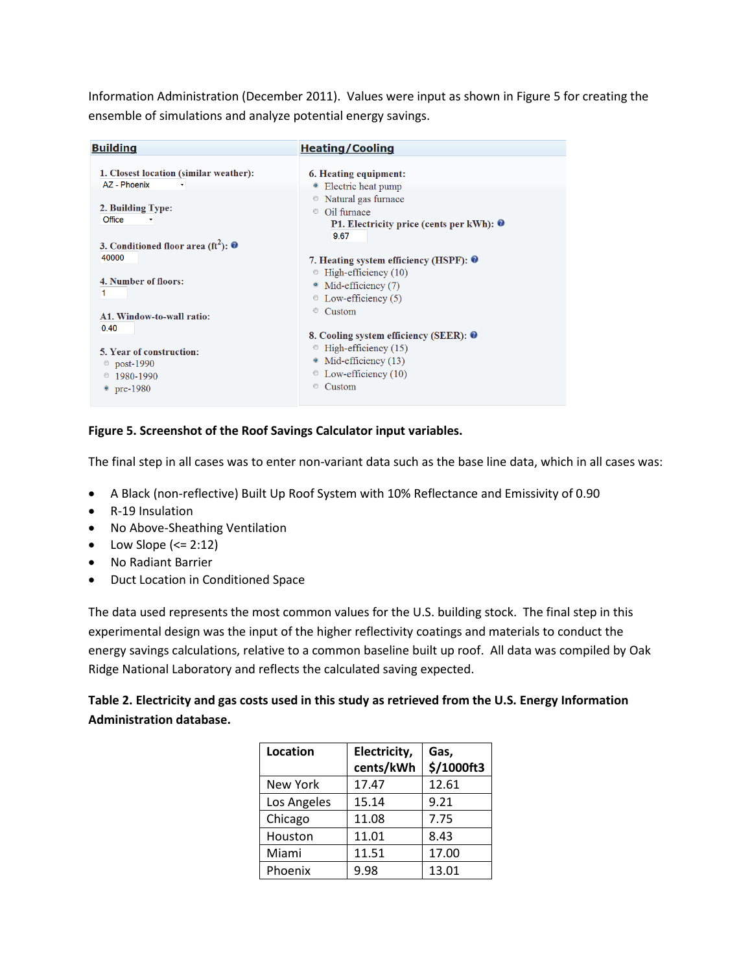Information Administration (December 2011). Values were input as shown in Figure 5 for creating the ensemble of simulations and analyze potential energy savings.

| <b>Building</b>                                                                                                                                                                                                                                                         | <b>Heating/Cooling</b>                                                                                                                                                                                                                                                                                                                                                                                                                       |
|-------------------------------------------------------------------------------------------------------------------------------------------------------------------------------------------------------------------------------------------------------------------------|----------------------------------------------------------------------------------------------------------------------------------------------------------------------------------------------------------------------------------------------------------------------------------------------------------------------------------------------------------------------------------------------------------------------------------------------|
| 1. Closest location (similar weather):<br>AZ - Phoenix<br>2. Building Type:<br>Office<br>3. Conditioned floor area (ft <sup>2</sup> ): $\bullet$<br>40000<br>4. Number of floors:<br>A1. Window-to-wall ratio:<br>0.40<br>5. Year of construction:<br>$\circ$ post-1990 | 6. Heating equipment:<br>• Electric heat pump<br>• Natural gas furnace<br>Oil furnace<br>$\circ$<br><b>P1.</b> Electricity price (cents per kWh): $\bullet$<br>9.67<br>7. Heating system efficiency (HSPF): $\bullet$<br>$\circ$ High-efficiency (10)<br>• Mid-efficiency (7)<br>$\circ$ Low-efficiency (5)<br>Custom<br>$\circledcirc$<br>8. Cooling system efficiency (SEER): 0<br>$\degree$ High-efficiency (15)<br>• Mid-efficiency (13) |
| 1980-1990<br>• pre-1980                                                                                                                                                                                                                                                 | $\circ$ Low-efficiency (10)<br>Custom                                                                                                                                                                                                                                                                                                                                                                                                        |

#### **Figure 5. Screenshot of the Roof Savings Calculator input variables.**

The final step in all cases was to enter non-variant data such as the base line data, which in all cases was:

- A Black (non-reflective) Built Up Roof System with 10% Reflectance and Emissivity of 0.90
- R-19 Insulation
- No Above-Sheathing Ventilation
- Low Slope  $\left(<=2:12\right)$
- No Radiant Barrier
- Duct Location in Conditioned Space

The data used represents the most common values for the U.S. building stock. The final step in this experimental design was the input of the higher reflectivity coatings and materials to conduct the energy savings calculations, relative to a common baseline built up roof. All data was compiled by Oak Ridge National Laboratory and reflects the calculated saving expected.

#### **Table 2. Electricity and gas costs used in this study as retrieved from the U.S. Energy Information Administration database.**

| Location    | Electricity,<br>cents/kWh | Gas,<br>\$/1000ft3 |
|-------------|---------------------------|--------------------|
| New York    | 17.47                     | 12.61              |
| Los Angeles | 15.14                     | 9.21               |
| Chicago     | 11.08                     | 7.75               |
| Houston     | 11.01                     | 8.43               |
| Miami       | 11.51                     | 17.00              |
| Phoenix     | 9.98                      | 13.01              |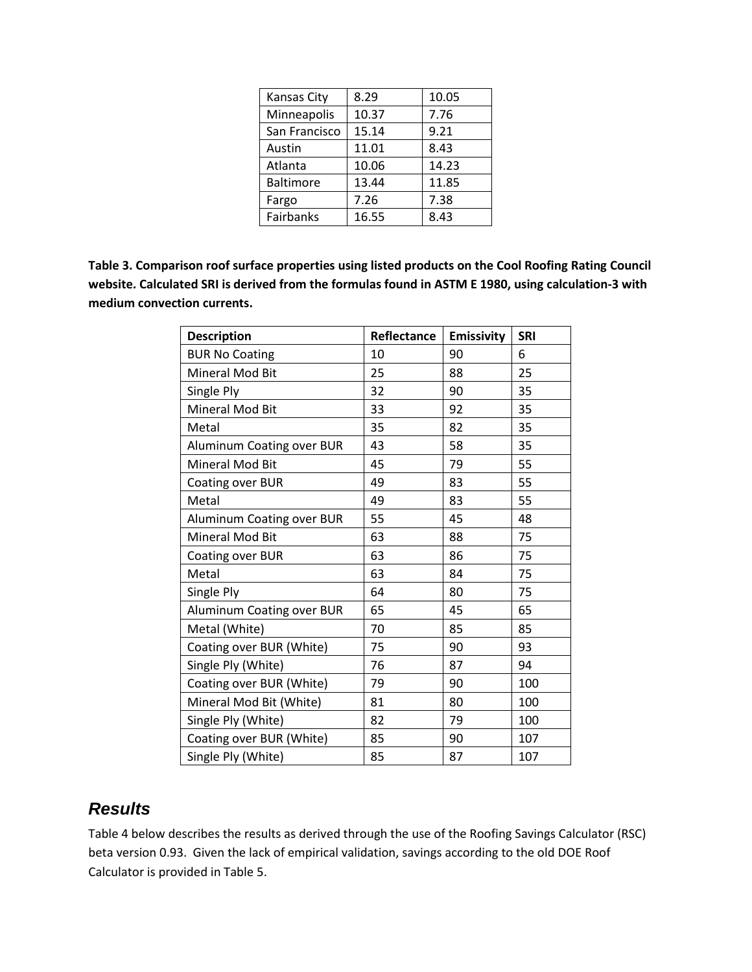| Kansas City      | 8.29  | 10.05 |
|------------------|-------|-------|
| Minneapolis      | 10.37 | 7.76  |
| San Francisco    | 15.14 | 9.21  |
| Austin           | 11.01 | 8.43  |
| Atlanta          | 10.06 | 14.23 |
| <b>Baltimore</b> | 13.44 | 11.85 |
| Fargo            | 7.26  | 7.38  |
| Fairbanks        | 16.55 | 8.43  |

**Table 3. Comparison roof surface properties using listed products on the Cool Roofing Rating Council website. Calculated SRI is derived from the formulas found in ASTM E 1980, using calculation-3 with medium convection currents.**

| Description               | Reflectance | <b>Emissivity</b> | <b>SRI</b> |
|---------------------------|-------------|-------------------|------------|
| <b>BUR No Coating</b>     | 10          | 90                | 6          |
| Mineral Mod Bit           | 25          | 88                | 25         |
| Single Ply                | 32          | 90                | 35         |
| Mineral Mod Bit           | 33          | 92                | 35         |
| Metal                     | 35          | 82                | 35         |
| Aluminum Coating over BUR | 43          | 58                | 35         |
| Mineral Mod Bit           | 45          | 79                | 55         |
| Coating over BUR          | 49          | 83                | 55         |
| Metal                     | 49          | 83                | 55         |
| Aluminum Coating over BUR | 55          | 45                | 48         |
| <b>Mineral Mod Bit</b>    | 63          | 88                | 75         |
| Coating over BUR          | 63          | 86                | 75         |
| Metal                     | 63          | 84                | 75         |
| Single Ply                | 64          | 80                | 75         |
| Aluminum Coating over BUR | 65          | 45                | 65         |
| Metal (White)             | 70          | 85                | 85         |
| Coating over BUR (White)  | 75          | 90                | 93         |
| Single Ply (White)        | 76          | 87                | 94         |
| Coating over BUR (White)  | 79          | 90                | 100        |
| Mineral Mod Bit (White)   | 81          | 80                | 100        |
| Single Ply (White)        | 82          | 79                | 100        |
| Coating over BUR (White)  | 85          | 90                | 107        |
| Single Ply (White)        | 85          | 87                | 107        |

## *Results*

Table 4 below describes the results as derived through the use of the Roofing Savings Calculator (RSC) beta version 0.93. Given the lack of empirical validation, savings according to the old DOE Roof Calculator is provided in Table 5.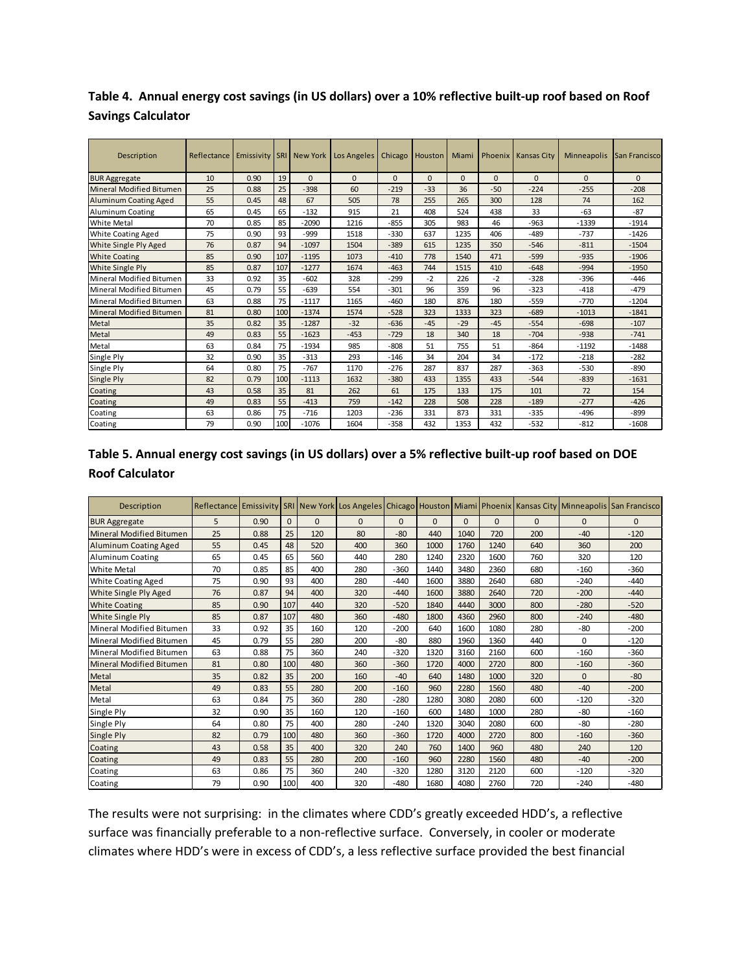**Table 4. Annual energy cost savings (in US dollars) over a 10% reflective built-up roof based on Roof Savings Calculator**

| Description                  | Reflectance | Emissivity   SRI   New York |     |          | Los Angeles | Chicago  | Houston  | Miami    |          | Phoenix   Kansas City | Minneapolis | San Francisco |
|------------------------------|-------------|-----------------------------|-----|----------|-------------|----------|----------|----------|----------|-----------------------|-------------|---------------|
| <b>BUR Aggregate</b>         | 10          | 0.90                        | 19  | $\Omega$ | $\Omega$    | $\Omega$ | $\Omega$ | $\Omega$ | $\Omega$ | $\Omega$              | $\Omega$    | $\Omega$      |
| Mineral Modified Bitumen     | 25          | 0.88                        | 25  | $-398$   | 60          | $-219$   | $-33$    | 36       | $-50$    | $-224$                | $-255$      | $-208$        |
| <b>Aluminum Coating Aged</b> | 55          | 0.45                        | 48  | 67       | 505         | 78       | 255      | 265      | 300      | 128                   | 74          | 162           |
| <b>Aluminum Coating</b>      | 65          | 0.45                        | 65  | $-132$   | 915         | 21       | 408      | 524      | 438      | 33                    | $-63$       | $-87$         |
| <b>White Metal</b>           | 70          | 0.85                        | 85  | $-2090$  | 1216        | $-855$   | 305      | 983      | 46       | $-963$                | $-1339$     | $-1914$       |
| <b>White Coating Aged</b>    | 75          | 0.90                        | 93  | $-999$   | 1518        | $-330$   | 637      | 1235     | 406      | $-489$                | $-737$      | $-1426$       |
| White Single Ply Aged        | 76          | 0.87                        | 94  | $-1097$  | 1504        | $-389$   | 615      | 1235     | 350      | $-546$                | $-811$      | $-1504$       |
| <b>White Coating</b>         | 85          | 0.90                        | 107 | $-1195$  | 1073        | $-410$   | 778      | 1540     | 471      | $-599$                | $-935$      | $-1906$       |
| <b>White Single Ply</b>      | 85          | 0.87                        | 107 | $-1277$  | 1674        | $-463$   | 744      | 1515     | 410      | $-648$                | $-994$      | $-1950$       |
| Mineral Modified Bitumen     | 33          | 0.92                        | 35  | $-602$   | 328         | $-299$   | $-2$     | 226      | $-2$     | $-328$                | $-396$      | $-446$        |
| Mineral Modified Bitumen     | 45          | 0.79                        | 55  | $-639$   | 554         | $-301$   | 96       | 359      | 96       | $-323$                | $-418$      | $-479$        |
| Mineral Modified Bitumen     | 63          | 0.88                        | 75  | $-1117$  | 1165        | $-460$   | 180      | 876      | 180      | $-559$                | $-770$      | $-1204$       |
| Mineral Modified Bitumen     | 81          | 0.80                        | 100 | $-1374$  | 1574        | $-528$   | 323      | 1333     | 323      | $-689$                | $-1013$     | $-1841$       |
| Metal                        | 35          | 0.82                        | 35  | $-1287$  | $-32$       | $-636$   | $-45$    | $-29$    | $-45$    | $-554$                | $-698$      | $-107$        |
| Metal                        | 49          | 0.83                        | 55  | $-1623$  | $-453$      | $-729$   | 18       | 340      | 18       | $-704$                | $-938$      | $-741$        |
| Metal                        | 63          | 0.84                        | 75  | $-1934$  | 985         | $-808$   | 51       | 755      | 51       | $-864$                | $-1192$     | $-1488$       |
| Single Ply                   | 32          | 0.90                        | 35  | $-313$   | 293         | $-146$   | 34       | 204      | 34       | $-172$                | $-218$      | $-282$        |
| Single Ply                   | 64          | 0.80                        | 75  | $-767$   | 1170        | $-276$   | 287      | 837      | 287      | $-363$                | $-530$      | $-890$        |
| Single Ply                   | 82          | 0.79                        | 100 | $-1113$  | 1632        | $-380$   | 433      | 1355     | 433      | $-544$                | $-839$      | $-1631$       |
| Coating                      | 43          | 0.58                        | 35  | 81       | 262         | 61       | 175      | 133      | 175      | 101                   | 72          | 154           |
| Coating                      | 49          | 0.83                        | 55  | $-413$   | 759         | $-142$   | 228      | 508      | 228      | $-189$                | $-277$      | $-426$        |
| Coating                      | 63          | 0.86                        | 75  | $-716$   | 1203        | $-236$   | 331      | 873      | 331      | $-335$                | $-496$      | $-899$        |
| Coating                      | 79          | 0.90                        | 100 | $-1076$  | 1604        | $-358$   | 432      | 1353     | 432      | $-532$                | $-812$      | $-1608$       |

| Table 5. Annual energy cost savings (in US dollars) over a 5% reflective built-up roof based on DOE |  |
|-----------------------------------------------------------------------------------------------------|--|
| <b>Roof Calculator</b>                                                                              |  |

| Description                     |    |      |          |          |          |          |          |          |          |          |          | Reflectance Emissivity SRI New York Los Angeles Chicago Houston Miami Phoenix Kansas City Minneapolis San Francisco |
|---------------------------------|----|------|----------|----------|----------|----------|----------|----------|----------|----------|----------|---------------------------------------------------------------------------------------------------------------------|
| <b>BUR Aggregate</b>            | 5  | 0.90 | $\Omega$ | $\Omega$ | $\Omega$ | $\Omega$ | $\Omega$ | $\Omega$ | $\Omega$ | $\Omega$ | $\Omega$ | $\Omega$                                                                                                            |
| <b>Mineral Modified Bitumen</b> | 25 | 0.88 | 25       | 120      | 80       | $-80$    | 440      | 1040     | 720      | 200      | $-40$    | $-120$                                                                                                              |
| <b>Aluminum Coating Aged</b>    | 55 | 0.45 | 48       | 520      | 400      | 360      | 1000     | 1760     | 1240     | 640      | 360      | 200                                                                                                                 |
| <b>Aluminum Coating</b>         | 65 | 0.45 | 65       | 560      | 440      | 280      | 1240     | 2320     | 1600     | 760      | 320      | 120                                                                                                                 |
| <b>White Metal</b>              | 70 | 0.85 | 85       | 400      | 280      | $-360$   | 1440     | 3480     | 2360     | 680      | $-160$   | $-360$                                                                                                              |
| <b>White Coating Aged</b>       | 75 | 0.90 | 93       | 400      | 280      | $-440$   | 1600     | 3880     | 2640     | 680      | $-240$   | $-440$                                                                                                              |
| White Single Ply Aged           | 76 | 0.87 | 94       | 400      | 320      | $-440$   | 1600     | 3880     | 2640     | 720      | $-200$   | $-440$                                                                                                              |
| <b>White Coating</b>            | 85 | 0.90 | 107      | 440      | 320      | $-520$   | 1840     | 4440     | 3000     | 800      | $-280$   | $-520$                                                                                                              |
| White Single Ply                | 85 | 0.87 | 107      | 480      | 360      | $-480$   | 1800     | 4360     | 2960     | 800      | $-240$   | $-480$                                                                                                              |
| Mineral Modified Bitumen        | 33 | 0.92 | 35       | 160      | 120      | $-200$   | 640      | 1600     | 1080     | 280      | $-80$    | $-200$                                                                                                              |
| Mineral Modified Bitumen        | 45 | 0.79 | 55       | 280      | 200      | $-80$    | 880      | 1960     | 1360     | 440      | $\Omega$ | $-120$                                                                                                              |
| Mineral Modified Bitumen        | 63 | 0.88 | 75       | 360      | 240      | $-320$   | 1320     | 3160     | 2160     | 600      | $-160$   | $-360$                                                                                                              |
| <b>Mineral Modified Bitumen</b> | 81 | 0.80 | 100      | 480      | 360      | $-360$   | 1720     | 4000     | 2720     | 800      | $-160$   | $-360$                                                                                                              |
| Metal                           | 35 | 0.82 | 35       | 200      | 160      | $-40$    | 640      | 1480     | 1000     | 320      | $\Omega$ | $-80$                                                                                                               |
| Metal                           | 49 | 0.83 | 55       | 280      | 200      | $-160$   | 960      | 2280     | 1560     | 480      | $-40$    | $-200$                                                                                                              |
| Metal                           | 63 | 0.84 | 75       | 360      | 280      | $-280$   | 1280     | 3080     | 2080     | 600      | $-120$   | $-320$                                                                                                              |
| Single Ply                      | 32 | 0.90 | 35       | 160      | 120      | $-160$   | 600      | 1480     | 1000     | 280      | $-80$    | $-160$                                                                                                              |
| Single Ply                      | 64 | 0.80 | 75       | 400      | 280      | $-240$   | 1320     | 3040     | 2080     | 600      | $-80$    | $-280$                                                                                                              |
| Single Ply                      | 82 | 0.79 | 100      | 480      | 360      | $-360$   | 1720     | 4000     | 2720     | 800      | $-160$   | $-360$                                                                                                              |
| Coating                         | 43 | 0.58 | 35       | 400      | 320      | 240      | 760      | 1400     | 960      | 480      | 240      | 120                                                                                                                 |
| Coating                         | 49 | 0.83 | 55       | 280      | 200      | $-160$   | 960      | 2280     | 1560     | 480      | $-40$    | $-200$                                                                                                              |
| Coating                         | 63 | 0.86 | 75       | 360      | 240      | $-320$   | 1280     | 3120     | 2120     | 600      | $-120$   | $-320$                                                                                                              |
| Coating                         | 79 | 0.90 | 100      | 400      | 320      | $-480$   | 1680     | 4080     | 2760     | 720      | $-240$   | $-480$                                                                                                              |

The results were not surprising: in the climates where CDD's greatly exceeded HDD's, a reflective surface was financially preferable to a non-reflective surface. Conversely, in cooler or moderate climates where HDD's were in excess of CDD's, a less reflective surface provided the best financial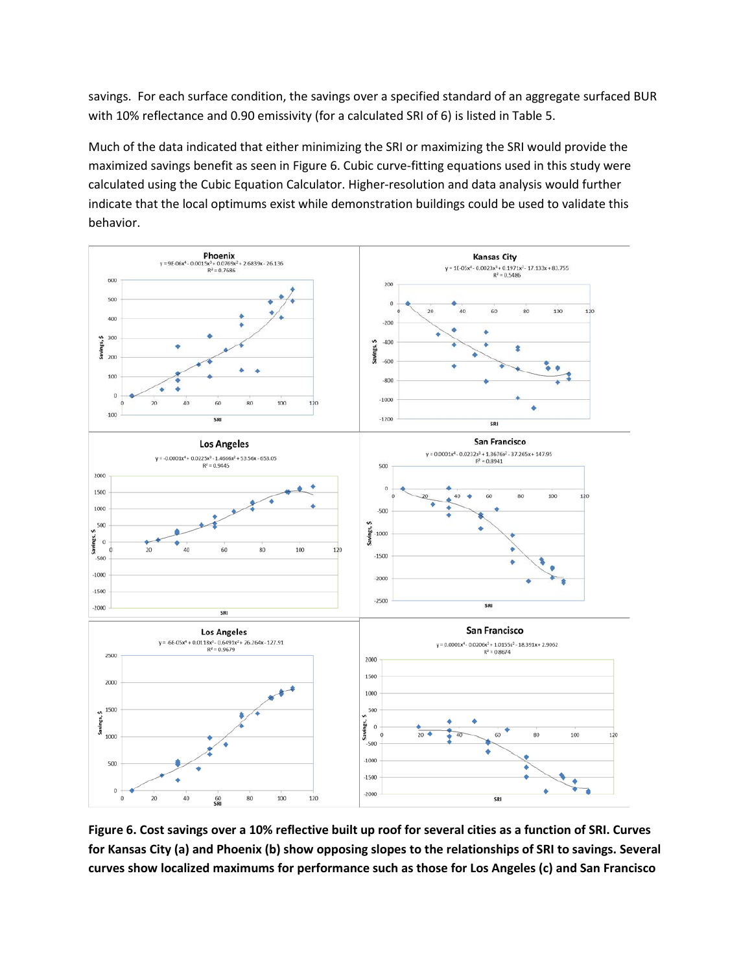savings. For each surface condition, the savings over a specified standard of an aggregate surfaced BUR with 10% reflectance and 0.90 emissivity (for a calculated SRI of 6) is listed in Table 5.

Much of the data indicated that either minimizing the SRI or maximizing the SRI would provide the maximized savings benefit as seen in Figure 6. Cubic curve-fitting equations used in this study were calculated using the Cubic Equation Calculator. Higher-resolution and data analysis would further indicate that the local optimums exist while demonstration buildings could be used to validate this behavior.



**Figure 6. Cost savings over a 10% reflective built up roof for several cities as a function of SRI. Curves for Kansas City (a) and Phoenix (b) show opposing slopes to the relationships of SRI to savings. Several curves show localized maximums for performance such as those for Los Angeles (c) and San Francisco**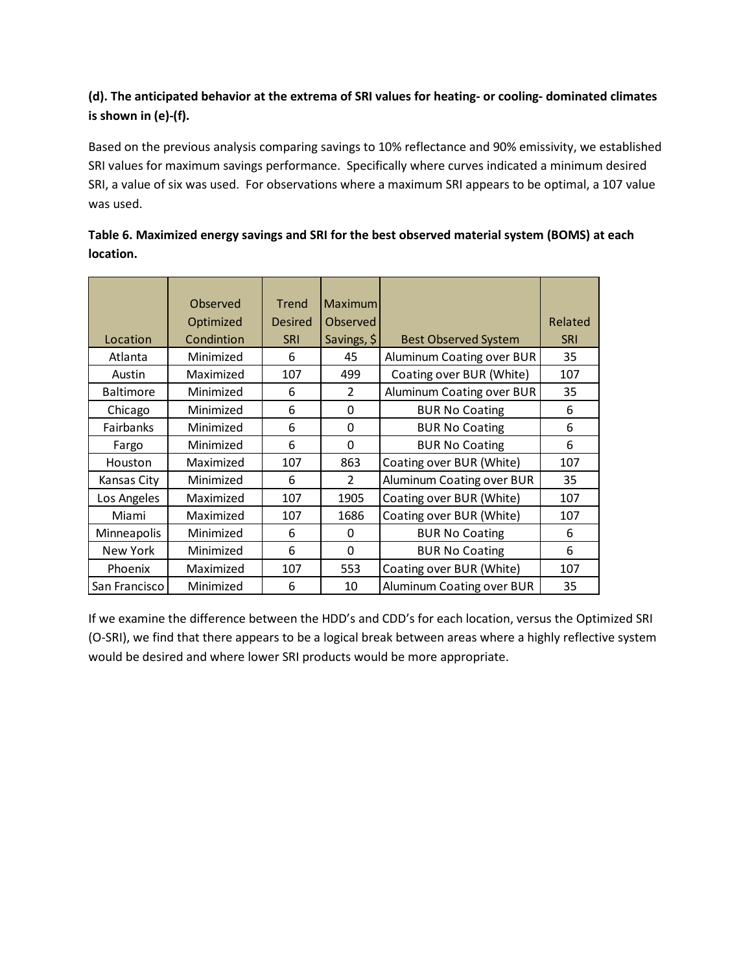#### **(d). The anticipated behavior at the extrema of SRI values for heating- or cooling- dominated climates is shown in (e)-(f).**

Based on the previous analysis comparing savings to 10% reflectance and 90% emissivity, we established SRI values for maximum savings performance. Specifically where curves indicated a minimum desired SRI, a value of six was used. For observations where a maximum SRI appears to be optimal, a 107 value was used.

|                  | Observed   | <b>Trend</b>   | <b>Maximum</b> |                             |            |
|------------------|------------|----------------|----------------|-----------------------------|------------|
|                  | Optimized  | <b>Desired</b> | Observed       |                             | Related    |
| Location         | Condintion | <b>SRI</b>     | Savings, \$    | <b>Best Observed System</b> | <b>SRI</b> |
| Atlanta          | Minimized  | 6              | 45             | Aluminum Coating over BUR   | 35         |
| Austin           | Maximized  | 107            | 499            | Coating over BUR (White)    | 107        |
| <b>Baltimore</b> | Minimized  | 6              | $\overline{2}$ | Aluminum Coating over BUR   | 35         |
| Chicago          | Minimized  | 6              | 0              | <b>BUR No Coating</b>       | 6          |
| Fairbanks        | Minimized  | 6              | $\Omega$       | <b>BUR No Coating</b>       | 6          |
| Fargo            | Minimized  | 6              | 0              | <b>BUR No Coating</b>       | 6          |
| Houston          | Maximized  | 107            | 863            | Coating over BUR (White)    | 107        |
| Kansas City      | Minimized  | 6              | $\overline{2}$ | Aluminum Coating over BUR   | 35         |
| Los Angeles      | Maximized  | 107            | 1905           | Coating over BUR (White)    | 107        |
| Miami            | Maximized  | 107            | 1686           | Coating over BUR (White)    | 107        |
| Minneapolis      | Minimized  | 6              | 0              | <b>BUR No Coating</b>       | 6          |
| New York         | Minimized  | 6              | $\Omega$       | <b>BUR No Coating</b>       | 6          |
| Phoenix          | Maximized  | 107            | 553            | Coating over BUR (White)    | 107        |
| San Francisco    | Minimized  | 6              | 10             | Aluminum Coating over BUR   | 35         |

#### **Table 6. Maximized energy savings and SRI for the best observed material system (BOMS) at each location.**

If we examine the difference between the HDD's and CDD's for each location, versus the Optimized SRI (O-SRI), we find that there appears to be a logical break between areas where a highly reflective system would be desired and where lower SRI products would be more appropriate.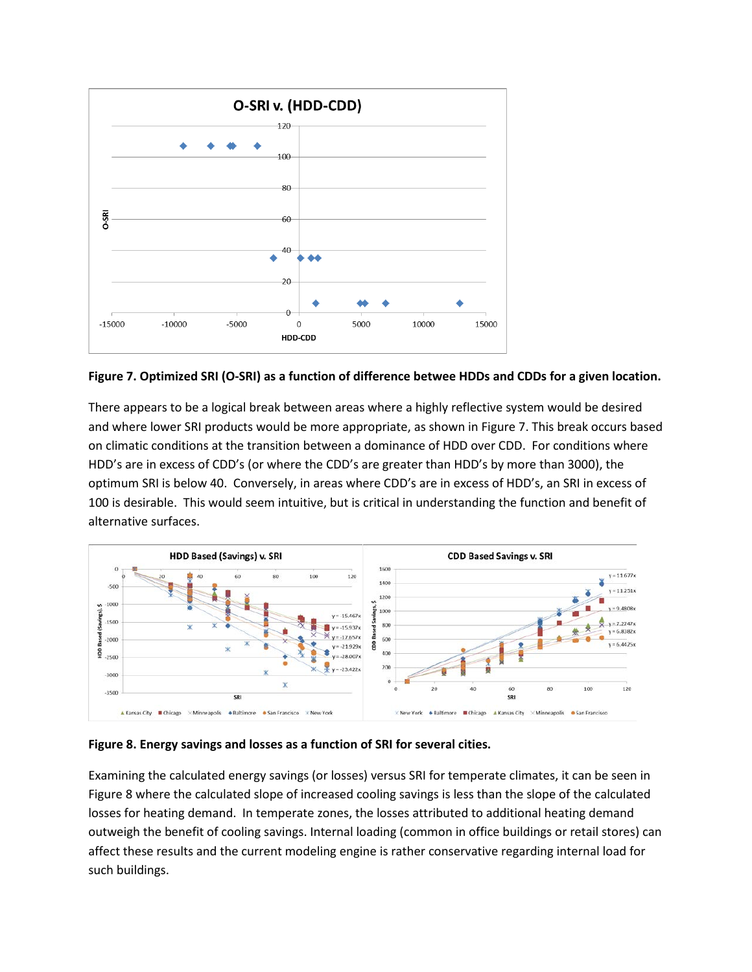

**Figure 7. Optimized SRI (O-SRI) as a function of difference betwee HDDs and CDDs for a given location.**

There appears to be a logical break between areas where a highly reflective system would be desired and where lower SRI products would be more appropriate, as shown in Figure 7. This break occurs based on climatic conditions at the transition between a dominance of HDD over CDD. For conditions where HDD's are in excess of CDD's (or where the CDD's are greater than HDD's by more than 3000), the optimum SRI is below 40. Conversely, in areas where CDD's are in excess of HDD's, an SRI in excess of 100 is desirable. This would seem intuitive, but is critical in understanding the function and benefit of alternative surfaces.



**Figure 8. Energy savings and losses as a function of SRI for several cities.**

Examining the calculated energy savings (or losses) versus SRI for temperate climates, it can be seen in Figure 8 where the calculated slope of increased cooling savings is less than the slope of the calculated losses for heating demand. In temperate zones, the losses attributed to additional heating demand outweigh the benefit of cooling savings. Internal loading (common in office buildings or retail stores) can affect these results and the current modeling engine is rather conservative regarding internal load for such buildings.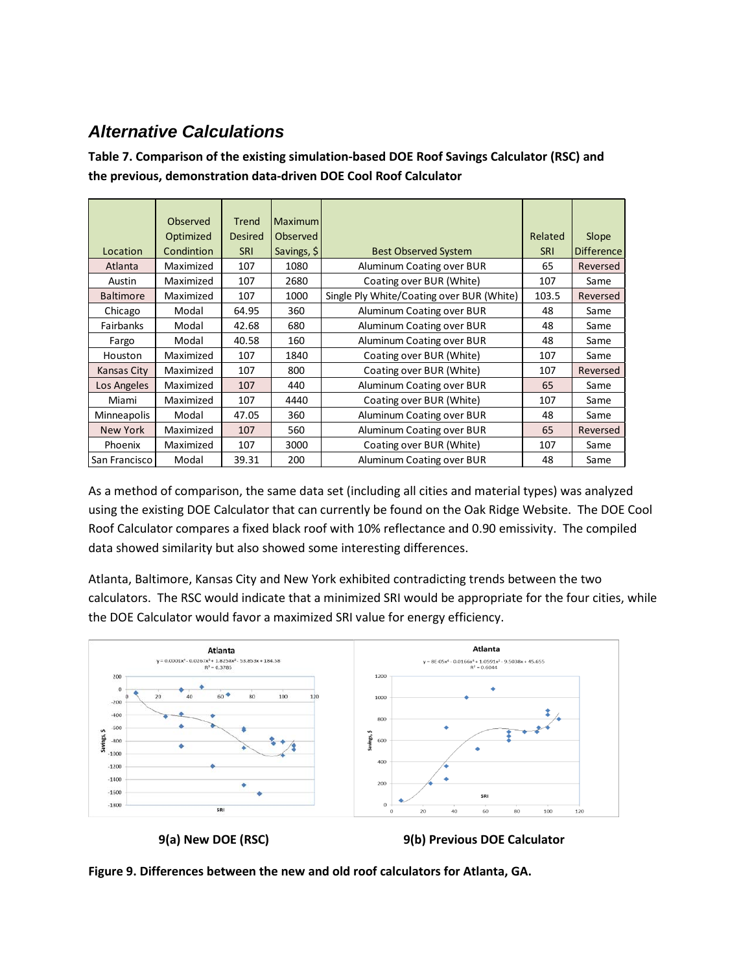## *Alternative Calculations*

**Table 7. Comparison of the existing simulation-based DOE Roof Savings Calculator (RSC) and the previous, demonstration data-driven DOE Cool Roof Calculator**

|                  | Observed   | Trend          | <b>Maximum</b> |                                           |            |            |
|------------------|------------|----------------|----------------|-------------------------------------------|------------|------------|
|                  | Optimized  | <b>Desired</b> | Observed       |                                           | Related    | Slope      |
| Location         | Condintion | <b>SRI</b>     | Savings, \$    | <b>Best Observed System</b>               | <b>SRI</b> | Difference |
| Atlanta          | Maximized  | 107            | 1080           | Aluminum Coating over BUR                 | 65         | Reversed   |
| Austin           | Maximized  | 107            | 2680           | Coating over BUR (White)                  | 107        | Same       |
| <b>Baltimore</b> | Maximized  | 107            | 1000           | Single Ply White/Coating over BUR (White) | 103.5      | Reversed   |
| Chicago          | Modal      | 64.95          | 360            | Aluminum Coating over BUR                 | 48         | Same       |
| <b>Fairbanks</b> | Modal      | 42.68          | 680            | Aluminum Coating over BUR                 | 48         | Same       |
| Fargo            | Modal      | 40.58          | 160            | Aluminum Coating over BUR                 | 48         | Same       |
| Houston          | Maximized  | 107            | 1840           | Coating over BUR (White)                  | 107        | Same       |
| Kansas City      | Maximized  | 107            | 800            | Coating over BUR (White)                  | 107        | Reversed   |
| Los Angeles      | Maximized  | 107            | 440            | Aluminum Coating over BUR                 | 65         | Same       |
| Miami            | Maximized  | 107            | 4440           | Coating over BUR (White)                  | 107        | Same       |
| Minneapolis      | Modal      | 47.05          | 360            | Aluminum Coating over BUR                 | 48         | Same       |
| <b>New York</b>  | Maximized  | 107            | 560            | Aluminum Coating over BUR                 | 65         | Reversed   |
| Phoenix          | Maximized  | 107            | 3000           | Coating over BUR (White)                  | 107        | Same       |
| San Francisco    | Modal      | 39.31          | 200            | Aluminum Coating over BUR                 | 48         | Same       |

As a method of comparison, the same data set (including all cities and material types) was analyzed using the existing DOE Calculator that can currently be found on the Oak Ridge Website. The DOE Cool Roof Calculator compares a fixed black roof with 10% reflectance and 0.90 emissivity. The compiled data showed similarity but also showed some interesting differences.

Atlanta, Baltimore, Kansas City and New York exhibited contradicting trends between the two calculators. The RSC would indicate that a minimized SRI would be appropriate for the four cities, while the DOE Calculator would favor a maximized SRI value for energy efficiency.



 **9(a) New DOE (RSC) 9(b) Previous DOE Calculator**

**Figure 9. Differences between the new and old roof calculators for Atlanta, GA.**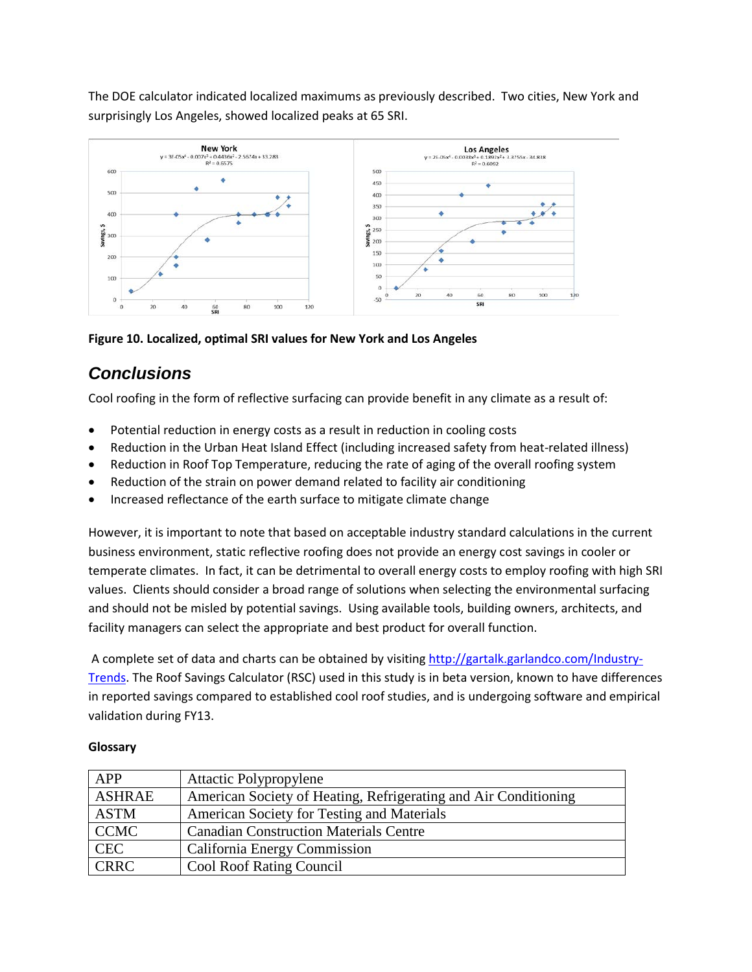The DOE calculator indicated localized maximums as previously described. Two cities, New York and surprisingly Los Angeles, showed localized peaks at 65 SRI.



**Figure 10. Localized, optimal SRI values for New York and Los Angeles**

## *Conclusions*

Cool roofing in the form of reflective surfacing can provide benefit in any climate as a result of:

- Potential reduction in energy costs as a result in reduction in cooling costs
- Reduction in the Urban Heat Island Effect (including increased safety from heat-related illness)
- Reduction in Roof Top Temperature, reducing the rate of aging of the overall roofing system
- Reduction of the strain on power demand related to facility air conditioning
- Increased reflectance of the earth surface to mitigate climate change

However, it is important to note that based on acceptable industry standard calculations in the current business environment, static reflective roofing does not provide an energy cost savings in cooler or temperate climates. In fact, it can be detrimental to overall energy costs to employ roofing with high SRI values. Clients should consider a broad range of solutions when selecting the environmental surfacing and should not be misled by potential savings. Using available tools, building owners, architects, and facility managers can select the appropriate and best product for overall function.

A complete set of data and charts can be obtained by visiting [http://gartalk.garlandco.com/Industry-](http://gartalk.garlandco.com/Industry-Trends)[Trends.](http://gartalk.garlandco.com/Industry-Trends) The Roof Savings Calculator (RSC) used in this study is in beta version, known to have differences in reported savings compared to established cool roof studies, and is undergoing software and empirical validation during FY13.

| <b>APP</b>    | <b>Attactic Polypropylene</b>                                   |
|---------------|-----------------------------------------------------------------|
| <b>ASHRAE</b> | American Society of Heating, Refrigerating and Air Conditioning |
| <b>ASTM</b>   | American Society for Testing and Materials                      |
| <b>CCMC</b>   | <b>Canadian Construction Materials Centre</b>                   |
| <b>CEC</b>    | California Energy Commission                                    |
| <b>CRRC</b>   | <b>Cool Roof Rating Council</b>                                 |

#### **Glossary**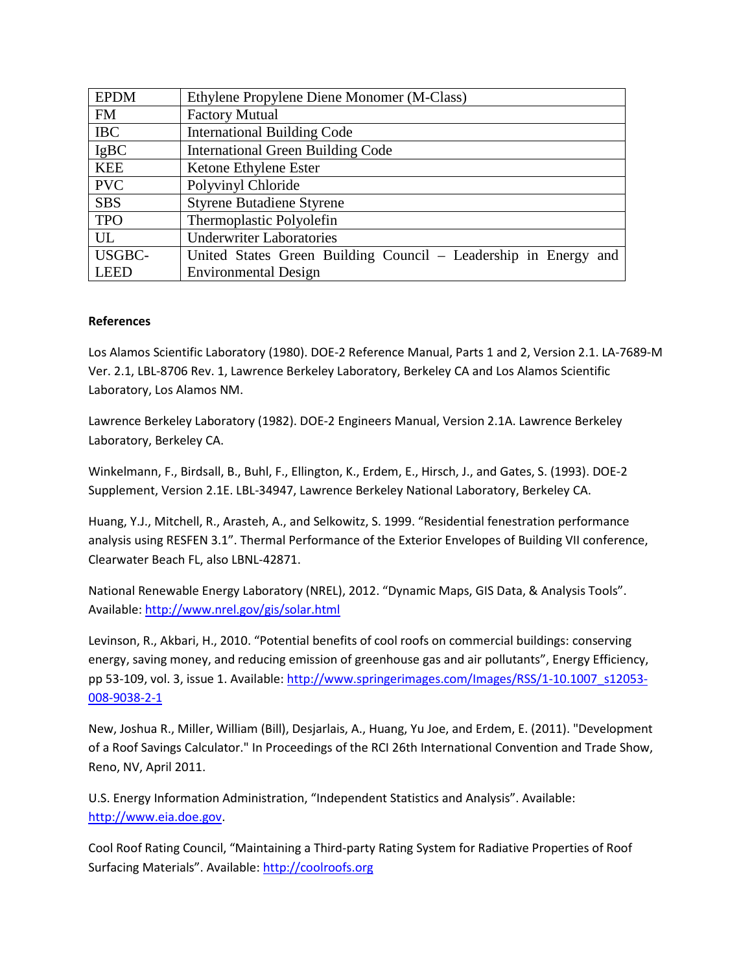| <b>EPDM</b>   | Ethylene Propylene Diene Monomer (M-Class)                      |
|---------------|-----------------------------------------------------------------|
| <b>FM</b>     | <b>Factory Mutual</b>                                           |
| <b>IBC</b>    | <b>International Building Code</b>                              |
| <b>IgBC</b>   | <b>International Green Building Code</b>                        |
| <b>KEE</b>    | Ketone Ethylene Ester                                           |
| <b>PVC</b>    | Polyvinyl Chloride                                              |
| <b>SBS</b>    | <b>Styrene Butadiene Styrene</b>                                |
| <b>TPO</b>    | Thermoplastic Polyolefin                                        |
| UL            | <b>Underwriter Laboratories</b>                                 |
| <b>USGBC-</b> | United States Green Building Council – Leadership in Energy and |
| <b>LEED</b>   | <b>Environmental Design</b>                                     |

#### **References**

Los Alamos Scientific Laboratory (1980). DOE-2 Reference Manual, Parts 1 and 2, Version 2.1. LA-7689-M Ver. 2.1, LBL-8706 Rev. 1, Lawrence Berkeley Laboratory, Berkeley CA and Los Alamos Scientific Laboratory, Los Alamos NM.

Lawrence Berkeley Laboratory (1982). DOE-2 Engineers Manual, Version 2.1A. Lawrence Berkeley Laboratory, Berkeley CA.

Winkelmann, F., Birdsall, B., Buhl, F., Ellington, K., Erdem, E., Hirsch, J., and Gates, S. (1993). DOE-2 Supplement, Version 2.1E. LBL-34947, Lawrence Berkeley National Laboratory, Berkeley CA.

Huang, Y.J., Mitchell, R., Arasteh, A., and Selkowitz, S. 1999. "Residential fenestration performance analysis using RESFEN 3.1". Thermal Performance of the Exterior Envelopes of Building VII conference, Clearwater Beach FL, also LBNL-42871.

National Renewable Energy Laboratory (NREL), 2012. "Dynamic Maps, GIS Data, & Analysis Tools". Available:<http://www.nrel.gov/gis/solar.html>

Levinson, R., Akbari, H., 2010. "Potential benefits of cool roofs on commercial buildings: conserving energy, saving money, and reducing emission of greenhouse gas and air pollutants", Energy Efficiency, pp 53-109, vol. 3, issue 1. Available[: http://www.springerimages.com/Images/RSS/1-10.1007\\_s12053-](http://www.springerimages.com/Images/RSS/1-10.1007_s12053-008-9038-2-1) [008-9038-2-1](http://www.springerimages.com/Images/RSS/1-10.1007_s12053-008-9038-2-1)

New, Joshua R., Miller, William (Bill), Desjarlais, A., Huang, Yu Joe, and Erdem, E. (2011). "Development of a Roof Savings Calculator." In Proceedings of the RCI 26th International Convention and Trade Show, Reno, NV, April 2011.

U.S. Energy Information Administration, "Independent Statistics and Analysis". Available: [http://www.eia.doe.gov.](http://www.eia.doe.gov/)

Cool Roof Rating Council, "Maintaining a Third-party Rating System for Radiative Properties of Roof Surfacing Materials". Available: [http://coolroofs.org](http://coolroofs.org/)